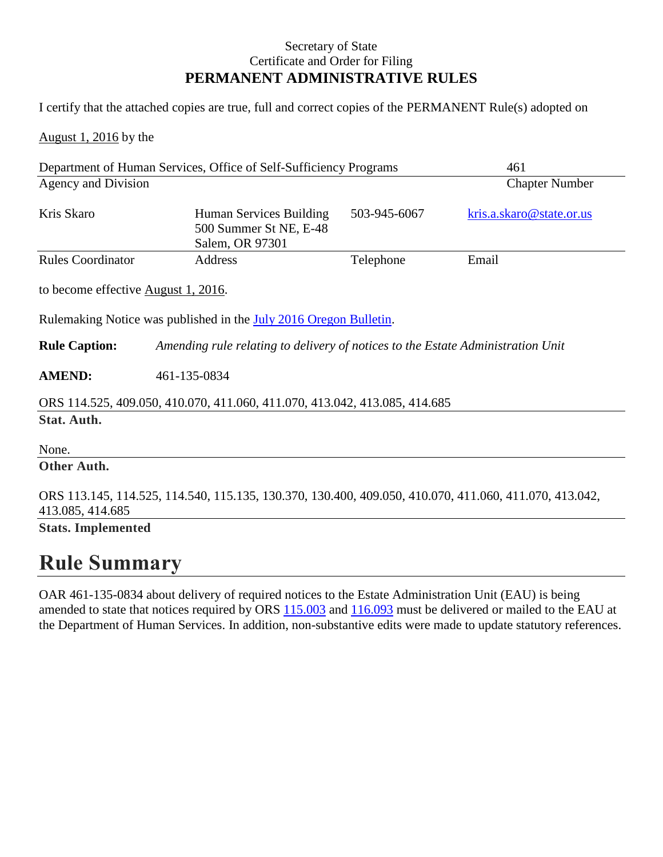## Secretary of State Certificate and Order for Filing **PERMANENT ADMINISTRATIVE RULES**

I certify that the attached copies are true, full and correct copies of the PERMANENT Rule(s) adopted on

August 1, 2016 by the

| Department of Human Services, Office of Self-Sufficiency Programs                                                          |                                                                                 |              | 461                      |
|----------------------------------------------------------------------------------------------------------------------------|---------------------------------------------------------------------------------|--------------|--------------------------|
| Agency and Division                                                                                                        |                                                                                 |              | <b>Chapter Number</b>    |
| Kris Skaro                                                                                                                 | Human Services Building<br>500 Summer St NE, E-48<br>Salem, OR 97301            | 503-945-6067 | kris.a.skaro@state.or.us |
| <b>Rules Coordinator</b>                                                                                                   | Address                                                                         | Telephone    | Email                    |
| to become effective August 1, 2016.                                                                                        |                                                                                 |              |                          |
| Rulemaking Notice was published in the July 2016 Oregon Bulletin.                                                          |                                                                                 |              |                          |
| <b>Rule Caption:</b>                                                                                                       | Amending rule relating to delivery of notices to the Estate Administration Unit |              |                          |
| <b>AMEND:</b>                                                                                                              | 461-135-0834                                                                    |              |                          |
| ORS 114.525, 409.050, 410.070, 411.060, 411.070, 413.042, 413.085, 414.685                                                 |                                                                                 |              |                          |
| Stat. Auth.                                                                                                                |                                                                                 |              |                          |
| None.                                                                                                                      |                                                                                 |              |                          |
| Other Auth.                                                                                                                |                                                                                 |              |                          |
| ORS 113.145, 114.525, 114.540, 115.135, 130.370, 130.400, 409.050, 410.070, 411.060, 411.070, 413.042,<br>413.085, 414.685 |                                                                                 |              |                          |
| <b>Stats. Implemented</b>                                                                                                  |                                                                                 |              |                          |

## **Rule Summary**

OAR 461-135-0834 about delivery of required notices to the Estate Administration Unit (EAU) is being amended to state that notices required by ORS  $115.003$  and  $116.093$  must be delivered or mailed to the EAU at the Department of Human Services. In addition, non-substantive edits were made to update statutory references.